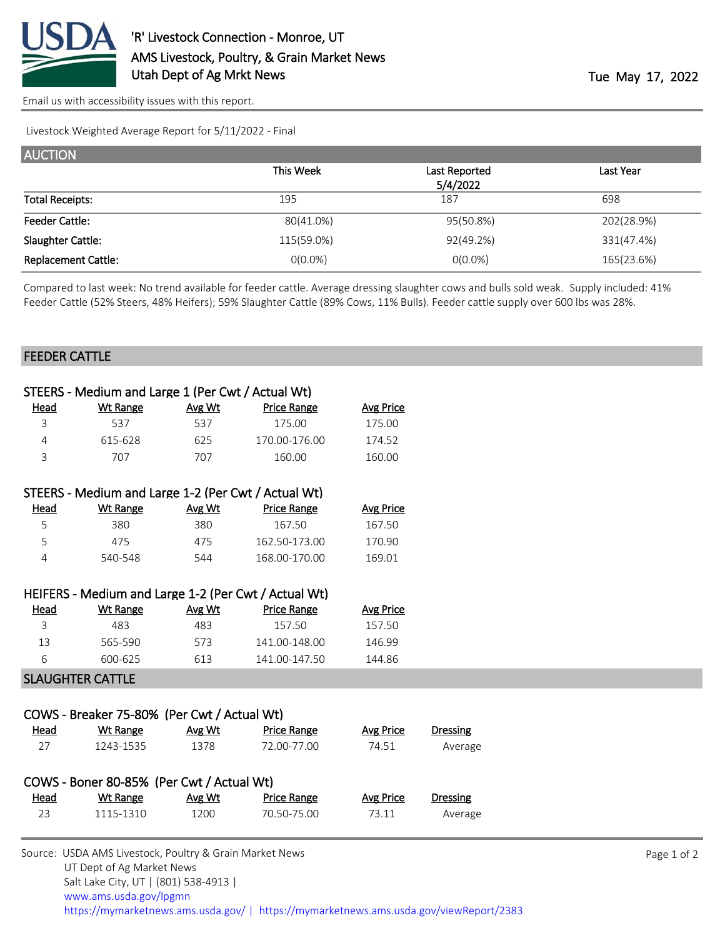

[Email us with accessibility issues with this report.](mailto:mars@ams.usda.gov?subject=508%20issue)

UT Dept of Ag Market News

Salt Lake City, UT | (801) 538-4913 |

Livestock Weighted Average Report for 5/11/2022 - Final

| <b>AUCTION</b>             |            |               |            |
|----------------------------|------------|---------------|------------|
|                            | This Week  | Last Reported | Last Year  |
|                            |            | 5/4/2022      |            |
| <b>Total Receipts:</b>     | 195        | 187           | 698        |
| <b>Feeder Cattle:</b>      | 80(41.0%)  | 95(50.8%)     | 202(28.9%) |
| Slaughter Cattle:          | 115(59.0%) | 92(49.2%)     | 331(47.4%) |
| <b>Replacement Cattle:</b> | $0(0.0\%)$ | $O(0.0\%)$    | 165(23.6%) |

Compared to last week: No trend available for feeder cattle. Average dressing slaughter cows and bulls sold weak. Supply included: 41% Feeder Cattle (52% Steers, 48% Heifers); 59% Slaughter Cattle (89% Cows, 11% Bulls). Feeder cattle supply over 600 lbs was 28%.

## FEEDER CATTLE

|             | STEERS - Medium and Large 1 (Per Cwt / Actual Wt)       |        |                                                      |                  |                 |             |
|-------------|---------------------------------------------------------|--------|------------------------------------------------------|------------------|-----------------|-------------|
| <u>Head</u> | <b>Wt Range</b>                                         | Avg Wt | <b>Price Range</b>                                   | <b>Avg Price</b> |                 |             |
| 3           | 537                                                     | 537    | 175.00                                               | 175.00           |                 |             |
| 4           | 615-628                                                 | 625    | 170.00-176.00                                        | 174.52           |                 |             |
| 3           | 707                                                     | 707    | 160.00                                               | 160.00           |                 |             |
|             |                                                         |        | STEERS - Medium and Large 1-2 (Per Cwt / Actual Wt)  |                  |                 |             |
| <u>Head</u> | <b>Wt Range</b>                                         | Avg Wt | <b>Price Range</b>                                   | <b>Avg Price</b> |                 |             |
| 5           | 380                                                     | 380    | 167.50                                               | 167.50           |                 |             |
| 5           | 475                                                     | 475    | 162.50-173.00                                        | 170.90           |                 |             |
| 4           | 540-548                                                 | 544    | 168.00-170.00                                        | 169.01           |                 |             |
|             |                                                         |        | HEIFERS - Medium and Large 1-2 (Per Cwt / Actual Wt) |                  |                 |             |
| <b>Head</b> | <b>Wt Range</b>                                         | Avg Wt | <b>Price Range</b>                                   | <b>Avg Price</b> |                 |             |
| 3           | 483                                                     | 483    | 157.50                                               | 157.50           |                 |             |
| 13          | 565-590                                                 | 573    | 141.00-148.00                                        | 146.99           |                 |             |
| 6           | 600-625                                                 | 613    | 141.00-147.50                                        | 144.86           |                 |             |
|             | <b>SLAUGHTER CATTLE</b>                                 |        |                                                      |                  |                 |             |
|             | COWS - Breaker 75-80% (Per Cwt / Actual Wt)             |        |                                                      |                  |                 |             |
| <b>Head</b> | <b>Wt Range</b>                                         | Avg Wt | <b>Price Range</b>                                   | <b>Avg Price</b> | <b>Dressing</b> |             |
| 27          | 1243-1535                                               | 1378   | 72.00-77.00                                          | 74.51            | Average         |             |
|             |                                                         |        |                                                      |                  |                 |             |
|             | COWS - Boner 80-85% (Per Cwt / Actual Wt)               |        |                                                      |                  |                 |             |
| <u>Head</u> | <b>Wt Range</b>                                         | Avg Wt | <b>Price Range</b>                                   | <b>Avg Price</b> | <b>Dressing</b> |             |
| 23          | 1115-1310                                               | 1200   | 70.50-75.00                                          | 73.11            | Average         |             |
|             | Source: USDA AMS Livestock, Poultry & Grain Market News |        |                                                      |                  |                 | Page 1 of 2 |